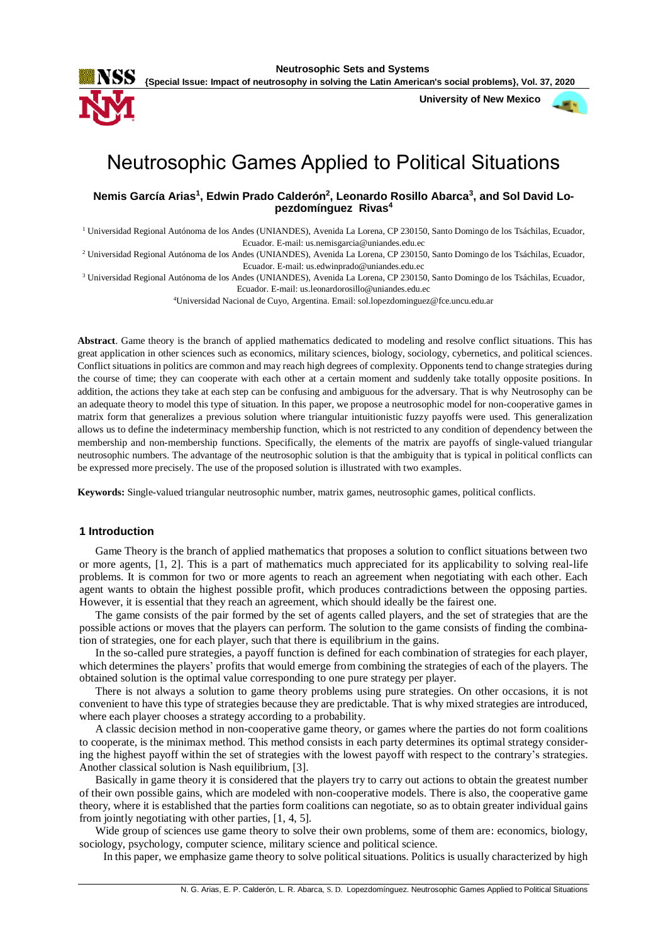

 **University of New Mexico**



# Neutrosophic Games Applied to Political Situations

**Nemis García Arias<sup>1</sup> , Edwin Prado Calderón 2 , Leonardo Rosillo Abarca<sup>3</sup> , and Sol David Lopezdomínguez Rivas<sup>4</sup>**

<sup>1</sup> Universidad Regional Autónoma de los Andes (UNIANDES), Avenida La Lorena, CP 230150, Santo Domingo de los Tsáchilas, Ecuador, Ecuador. E-mail: us.nemisgarcia@uniandes.edu.ec

<sup>2</sup> Universidad Regional Autónoma de los Andes (UNIANDES), Avenida La Lorena, CP 230150, Santo Domingo de los Tsáchilas, Ecuador, Ecuador. E-mail: us.edwinprado@uniandes.edu.ec

<sup>3</sup> Universidad Regional Autónoma de los Andes (UNIANDES), Avenida La Lorena, CP 230150, Santo Domingo de los Tsáchilas, Ecuador, Ecuador. E-mail: us.leonardorosillo@uniandes.edu.ec

<sup>4</sup>Universidad Nacional de Cuyo, Argentina. Email: sol.lopezdominguez@fce.uncu.edu.ar

**Abstract**. Game theory is the branch of applied mathematics dedicated to modeling and resolve conflict situations. This has great application in other sciences such as economics, military sciences, biology, sociology, cybernetics, and political sciences. Conflict situations in politics are common and may reach high degrees of complexity. Opponents tend to change strategies during the course of time; they can cooperate with each other at a certain moment and suddenly take totally opposite positions. In addition, the actions they take at each step can be confusing and ambiguous for the adversary. That is why Neutrosophy can be an adequate theory to model this type of situation. In this paper, we propose a neutrosophic model for non-cooperative games in matrix form that generalizes a previous solution where triangular intuitionistic fuzzy payoffs were used. This generalization allows us to define the indeterminacy membership function, which is not restricted to any condition of dependency between the membership and non-membership functions. Specifically, the elements of the matrix are payoffs of single-valued triangular neutrosophic numbers. The advantage of the neutrosophic solution is that the ambiguity that is typical in political conflicts can be expressed more precisely. The use of the proposed solution is illustrated with two examples.

**Keywords:** Single-valued triangular neutrosophic number, matrix games, neutrosophic games, political conflicts.

## **1 Introduction**

Game Theory is the branch of applied mathematics that proposes a solution to conflict situations between two or more agents, [1, 2]. This is a part of mathematics much appreciated for its applicability to solving real-life problems. It is common for two or more agents to reach an agreement when negotiating with each other. Each agent wants to obtain the highest possible profit, which produces contradictions between the opposing parties. However, it is essential that they reach an agreement, which should ideally be the fairest one.

The game consists of the pair formed by the set of agents called players, and the set of strategies that are the possible actions or moves that the players can perform. The solution to the game consists of finding the combination of strategies, one for each player, such that there is equilibrium in the gains.

In the so-called pure strategies, a payoff function is defined for each combination of strategies for each player, which determines the players' profits that would emerge from combining the strategies of each of the players. The obtained solution is the optimal value corresponding to one pure strategy per player.

There is not always a solution to game theory problems using pure strategies. On other occasions, it is not convenient to have this type of strategies because they are predictable. That is why mixed strategies are introduced, where each player chooses a strategy according to a probability.

A classic decision method in non-cooperative game theory, or games where the parties do not form coalitions to cooperate, is the minimax method. This method consists in each party determines its optimal strategy considering the highest payoff within the set of strategies with the lowest payoff with respect to the contrary's strategies. Another classical solution is Nash equilibrium, [3].

Basically in game theory it is considered that the players try to carry out actions to obtain the greatest number of their own possible gains, which are modeled with non-cooperative models. There is also, the cooperative game theory, where it is established that the parties form coalitions can negotiate, so as to obtain greater individual gains from jointly negotiating with other parties, [1, 4, 5].

Wide group of sciences use game theory to solve their own problems, some of them are: economics, biology, sociology, psychology, computer science, military science and political science.

In this paper, we emphasize game theory to solve political situations. Politics is usually characterized by high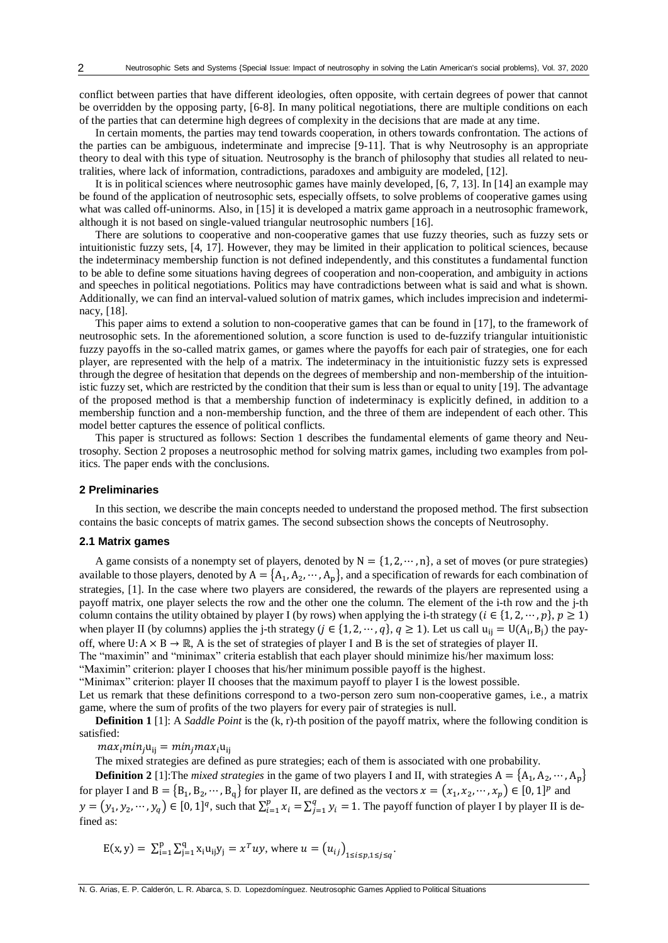conflict between parties that have different ideologies, often opposite, with certain degrees of power that cannot be overridden by the opposing party, [6-8]. In many political negotiations, there are multiple conditions on each of the parties that can determine high degrees of complexity in the decisions that are made at any time.

In certain moments, the parties may tend towards cooperation, in others towards confrontation. The actions of the parties can be ambiguous, indeterminate and imprecise [9-11]. That is why Neutrosophy is an appropriate theory to deal with this type of situation. Neutrosophy is the branch of philosophy that studies all related to neutralities, where lack of information, contradictions, paradoxes and ambiguity are modeled, [12].

It is in political sciences where neutrosophic games have mainly developed, [6, 7, 13]. In [14] an example may be found of the application of neutrosophic sets, especially offsets, to solve problems of cooperative games using what was called off-uninorms. Also, in [15] it is developed a matrix game approach in a neutrosophic framework, although it is not based on single-valued triangular neutrosophic numbers [16].

There are solutions to cooperative and non-cooperative games that use fuzzy theories, such as fuzzy sets or intuitionistic fuzzy sets, [4, 17]. However, they may be limited in their application to political sciences, because the indeterminacy membership function is not defined independently, and this constitutes a fundamental function to be able to define some situations having degrees of cooperation and non-cooperation, and ambiguity in actions and speeches in political negotiations. Politics may have contradictions between what is said and what is shown. Additionally, we can find an interval-valued solution of matrix games, which includes imprecision and indeterminacy, [18].

This paper aims to extend a solution to non-cooperative games that can be found in [17], to the framework of neutrosophic sets. In the aforementioned solution, a score function is used to de-fuzzify triangular intuitionistic fuzzy payoffs in the so-called matrix games, or games where the payoffs for each pair of strategies, one for each player, are represented with the help of a matrix. The indeterminacy in the intuitionistic fuzzy sets is expressed through the degree of hesitation that depends on the degrees of membership and non-membership of the intuitionistic fuzzy set, which are restricted by the condition that their sum is less than or equal to unity [19]. The advantage of the proposed method is that a membership function of indeterminacy is explicitly defined, in addition to a membership function and a non-membership function, and the three of them are independent of each other. This model better captures the essence of political conflicts.

This paper is structured as follows: Section 1 describes the fundamental elements of game theory and Neutrosophy. Section 2 proposes a neutrosophic method for solving matrix games, including two examples from politics. The paper ends with the conclusions.

#### **2 Preliminaries**

In this section, we describe the main concepts needed to understand the proposed method. The first subsection contains the basic concepts of matrix games. The second subsection shows the concepts of Neutrosophy.

### **2.1 Matrix games**

A game consists of a nonempty set of players, denoted by  $N = \{1, 2, \dots, n\}$ , a set of moves (or pure strategies) available to those players, denoted by  $A = \{A_1, A_2, \dots, A_p\}$ , and a specification of rewards for each combination of strategies, [1]. In the case where two players are considered, the rewards of the players are represented using a payoff matrix, one player selects the row and the other one the column. The element of the i-th row and the j-th column contains the utility obtained by player I (by rows) when applying the i-th strategy ( $i \in \{1, 2, \dots, p\}$ ,  $p \ge 1$ ) when player II (by columns) applies the j-th strategy ( $j \in \{1, 2, \dots, q\}$ ,  $q \ge 1$ ). Let us call  $u_{ij} = U(A_i, B_j)$  the payoff, where U:  $A \times B \to \mathbb{R}$ , A is the set of strategies of player I and B is the set of strategies of player II.

The "maximin" and "minimax" criteria establish that each player should minimize his/her maximum loss:

"Maximin" criterion: player I chooses that his/her minimum possible payoff is the highest.

"Minimax" criterion: player II chooses that the maximum payoff to player I is the lowest possible.

Let us remark that these definitions correspond to a two-person zero sum non-cooperative games, i.e., a matrix game, where the sum of profits of the two players for every pair of strategies is null.

**Definition 1** [1]: A *Saddle Point* is the (k, r)-th position of the payoff matrix, where the following condition is satisfied:

 $max_i min_i u_{ii} = min_i max_i u_{ii}$ 

The mixed strategies are defined as pure strategies; each of them is associated with one probability.

**Definition 2** [1]: The *mixed strategies* in the game of two players I and II, with strategies  $A = \{A_1, A_2, \dots, A_p\}$ for player I and  $B = \{B_1, B_2, \dots, B_q\}$  for player II, are defined as the vectors  $x = (x_1, x_2, \dots, x_p) \in [0, 1]^p$  and  $y = (y_1, y_2, \dots, y_q) \in [0, 1]^q$ , such that  $\sum_{i=1}^p x_i =$  $_{i=1}^{p} x_i = \sum_{j=1}^{q} y_i =$  $y_{i=1}^{q} y_i = 1$ . The payoff function of player I by player II is defined as:

$$
E(x, y) = \sum_{i=1}^{p} \sum_{j=1}^{q} x_i u_{ij} y_j = x^T u y
$$
, where  $u = (u_{ij})_{1 \le i \le p, 1 \le j \le q}$ .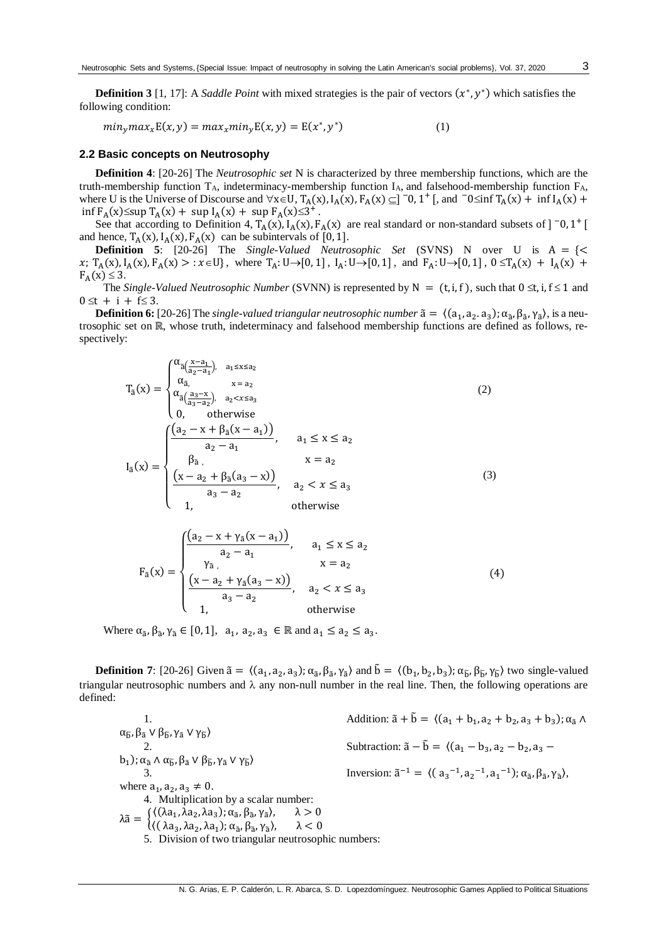**Definition 3** [1, 17]: A *Saddle Point* with mixed strategies is the pair of vectors  $(x^*, y^*)$  which satisfies the following condition:

 $min_{y} max_{x} E(x, y) = max_{x} min_{y} E(x, y) = E(x^*, y)$ <sup>∗</sup>) (1)

## **2.2 Basic concepts on Neutrosophy**

**Definition 4**: [20-26] The *Neutrosophic set* N is characterized by three membership functions, which are the truth-membership function  $T_A$ , indeterminacy-membership function  $I_A$ , and falsehood-membership function  $F_A$ , where U is the Universe of Discourse and  $\forall x \in U$ ,  $T_A(x)$ ,  $I_A(x)$ ,  $F_A(x) \subseteq ]\n-0$ ,  $1^+$  [, and  $-0 \le \inf T_A(x) + \inf I_A(x) +$  $\inf F_A(x) \leq \sup T_A(x) + \sup I_A(x) + \sup F_A(x) \leq 3^+$ .

See that according to Definition 4,  $T_A(x)$ ,  $I_A(x)$ ,  $F_A(x)$  are real standard or non-standard subsets of  $]$  <sup>-</sup>0, 1<sup>+</sup> and hence,  $T_A(x)$ ,  $I_A(x)$ ,  $F_A(x)$  can be subintervals of [0, 1].

**Definition 5**: [20-26] The *Single-Valued Neutrosophic Set* (SVNS) N over U is A = {< x;  $T_A(x)$ ,  $I_A(x)$ ,  $F_A(x) > : x \in U$ , where  $T_A: U \to [0, 1]$ ,  $I_A: U \to [0, 1]$ , and  $F_A: U \to [0, 1]$ ,  $0 \le T_A(x) + I_A(x) + I_A(x)$  $F_A(x) \leq 3$ .

The *Single-Valued Neutrosophic Number* (SVNN) is represented by  $N = (t, i, f)$ , such that  $0 \le t$ ,  $i, f \le 1$  and  $0 \le t + i + f \le 3$ .

**Definition 6:** [20-26] The *single-valued triangular neutrosophic number*  $\tilde{a} = \langle (a_1, a_2, a_3) ; \alpha_{\tilde{a}}, \beta_{\tilde{a}}, \gamma_{\tilde{a}} \rangle$ , is a neutrosophic set on ℝ, whose truth, indeterminacy and falsehood membership functions are defined as follows, respectively:

$$
T_{\tilde{a}}(x) = \begin{cases} \alpha_{\tilde{a}(\frac{x-a_1}{a_2-a_1}), a_1 \le x \le a_2} \\ \alpha_{\tilde{a}, x = a_2} \\ \alpha_{\tilde{a}(\frac{a_3-x}{a_3-a_2}), a_2 < x \le a_3} \\ 0, \quad \text{otherwise} \\ 0, \quad \text{otherwise} \end{cases} \tag{2}
$$
\n
$$
I_{\tilde{a}}(x) = \begin{cases} \frac{(a_2 - x + \beta_{\tilde{a}}(x - a_1))}{a_2 - a_1}, & a_1 \le x \le a_2 \\ \beta_{\tilde{a}, x = a_2} \\ \frac{(x - a_2 + \beta_{\tilde{a}}(a_3 - x))}{a_3 - a_2}, & a_2 < x \le a_3 \\ 1, \quad \text{otherwise} \end{cases} \tag{3}
$$

$$
F_{\tilde{a}}(x) = \begin{cases} \frac{(a_2 - x + \gamma_{\tilde{a}}(x - a_1))}{a_2 - a_1}, & a_1 \le x \le a_2\\ \frac{\gamma_{\tilde{a}}}{a_2 - a_1}, & x = a_2\\ \frac{(x - a_2 + \gamma_{\tilde{a}}(a_3 - x))}{a_3 - a_2}, & a_2 < x \le a_3\\ 1, & \text{otherwise} \end{cases} \tag{4}
$$

Where  $\alpha_{\tilde{a}}, \beta_{\tilde{a}}, \gamma_{\tilde{a}} \in [0, 1], \ a_1, a_2, a_3 \in \mathbb{R}$  and  $a_1 \le a_2 \le a_3$ .

**Definition 7**: [20-26] Given  $\tilde{a} = \langle (a_1, a_2, a_3); \alpha_{\tilde{a}}, \beta_{\tilde{a}}, \gamma_{\tilde{a}} \rangle$  and  $\tilde{b} = \langle (b_1, b_2, b_3); \alpha_{\tilde{b}}, \beta_{\tilde{b}}, \gamma_{\tilde{b}} \rangle$  two single-valued triangular neutrosophic numbers and  $\lambda$  any non-null number in the real line. Then, the following operations are defined:

1. Addition:  $\tilde{a} + \tilde{b} = \langle (a_1 + b_1, a_2 + b_2, a_3 + b_3) ; \alpha_{\tilde{a}} \wedge$ α<sub>δ</sub>, β<sub>ã</sub> ν β<sub>δ</sub>, γ<sub>ã</sub> ν γ<sub>δ</sub>)<br>2. Subtraction:  $\tilde{a} - \tilde{b} = \langle (a_1 - b_3, a_2 - b_2, a_3 - b_4, a_5 \rangle$  $(b_1)$ ; α<sub>ã</sub> Λ α<sub>ỗ</sub>, β<sub>ã</sub> V β<sub>Ď</sub>, γ<sub>ã</sub> V γ<sub>Ď</sub>) 3. Inversion:  $\tilde{a}^{-1} = \langle (a_3^{-1}, a_2^{-1}, a_1^{-1}); \alpha_{\tilde{a}}, \beta_{\tilde{a}}, \gamma_{\tilde{a}} \rangle$ , where  $a_1, a_2, a_3 \neq 0$ . 4. Multiplication by a scalar number:  $\lambda \tilde{a} = \begin{cases} \langle (\lambda a_1, \lambda a_2, \lambda a_3); \alpha_{\tilde{a}}, \beta_{\tilde{a}}, \gamma_{\tilde{a}} \rangle \\ \langle (\lambda a_1, \lambda a_2, \lambda a_3); \alpha_{\tilde{a}}, \beta_{\tilde{a}}, \gamma_{\tilde{a}} \rangle \end{cases}$  $\lambda > 0$ (( λa<sub>3</sub>, λa<sub>2</sub>, λa<sub>1</sub>); α<sub>ã</sub>, β<sub>ã</sub>, γ<sub>ã</sub>  $\lambda < 0$ 5. Division of two triangular neutrosophic numbers: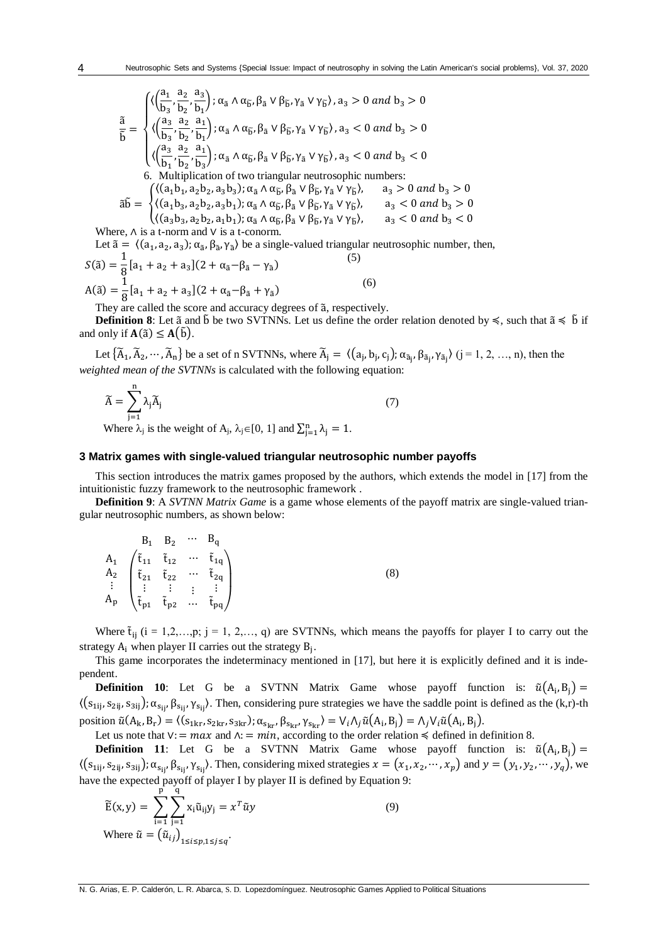$$
\tilde{\tilde{b}} = \begin{cases}\n\langle \left(\frac{a_1}{b_3}, \frac{a_2}{b_2}, \frac{a_3}{b_1}\right); \alpha_{\tilde{a}} \wedge \alpha_{\tilde{b}}, \beta_{\tilde{a}} \vee \beta_{\tilde{b}}, \gamma_{\tilde{a}} \vee \gamma_{\tilde{b}} \rangle, a_3 > 0 \text{ and } b_3 > 0 \\
\langle \left(\frac{a_3}{b_3}, \frac{a_2}{b_2}, \frac{a_1}{b_1}\right); \alpha_{\tilde{a}} \wedge \alpha_{\tilde{b}}, \beta_{\tilde{a}} \vee \beta_{\tilde{b}}, \gamma_{\tilde{a}} \vee \gamma_{\tilde{b}} \rangle, a_3 < 0 \text{ and } b_3 > 0 \\
\langle \left(\frac{a_3}{b_1}, \frac{a_2}{b_2}, \frac{a_1}{b_3}\right); \alpha_{\tilde{a}} \wedge \alpha_{\tilde{b}}, \beta_{\tilde{a}} \vee \beta_{\tilde{b}}, \gamma_{\tilde{a}} \vee \gamma_{\tilde{b}} \rangle, a_3 < 0 \text{ and } b_3 < 0 \\
6. \text{ Multiplication of two triangular neutrosophic numbers:} \\
\delta \tilde{b} = \begin{cases}\n\langle (a_1b_1, a_2b_2, a_3b_3); \alpha_{\tilde{a}} \wedge \alpha_{\tilde{b}}, \beta_{\tilde{a}} \vee \beta_{\tilde{b}}, \gamma_{\tilde{a}} \vee \gamma_{\tilde{b}} \rangle, & a_3 > 0 \text{ and } b_3 > 0 \\
\langle (a_1b_3, a_2b_2, a_3b_1); \alpha_{\tilde{a}} \wedge \alpha_{\tilde{b}}, \beta_{\tilde{a}} \vee \beta_{\tilde{b}}, \gamma_{\tilde{a}} \vee \gamma_{\tilde{b}} \rangle, & a_3 < 0 \text{ and } b_3 > 0 \\
\langle (a_3b_3, a_2b_2, a_1b_1); \alpha_{\tilde{a}} \wedge \alpha_{\tilde{b}}, \beta_{\tilde{a}} \vee \beta_{\tilde{b}}, \gamma_{\tilde{a}} \vee \gamma_{\tilde{b}} \rangle, & a_3 < 0 \text{ and } b_3 < 0 \\
\text{Where, } \wedge \text{ is a t
$$

Let  $\tilde{a} = \langle (a_1, a_2, a_3); \alpha_{\tilde{a}}, \beta_{\tilde{a}}, \gamma_{\tilde{a}} \rangle$  be a single-valued triangular neutrosophic number, then,

$$
S(\tilde{a}) = \frac{1}{8} [a_1 + a_2 + a_3](2 + \alpha_{\tilde{a}} - \beta_{\tilde{a}} - \gamma_{\tilde{a}})
$$
\n
$$
A(\tilde{a}) = \frac{1}{8} [a_1 + a_2 + a_3](2 + \alpha_{\tilde{a}} - \beta_{\tilde{a}} + \gamma_{\tilde{a}})
$$
\n(6)

They are called the score and accuracy degrees of ã, respectively.

**Definition 8**: Let  $\tilde{a}$  and  $\tilde{b}$  be two SVTNNs. Let us define the order relation denoted by  $\leq$ , such that  $\tilde{a} \leq \tilde{b}$  if and only if  $A(\tilde{a}) \leq A(\tilde{b})$ .

Let  $\{\widetilde{A}_1, \widetilde{A}_2, \cdots, \widetilde{A}_n\}$  be a set of n SVTNNs, where  $\widetilde{A}_j = \langle (a_j, b_j, c_j); \alpha_{\widetilde{a}_j}, \beta_{\widetilde{a}_j}, \gamma_{\widetilde{a}_j} \rangle$   $(j = 1, 2, ..., n)$ , then the *weighted mean of the SVTNNs* is calculated with the following equation:

$$
\widetilde{A} = \sum_{j=1}^{n} \lambda_j \widetilde{A}_j \tag{7}
$$

Where  $\lambda_j$  is the weight of A<sub>j</sub>,  $\lambda_j \in [0, 1]$  and  $\sum_{j=1}^n \lambda_j = 1$ .

# **3 Matrix games with single-valued triangular neutrosophic number payoffs**

This section introduces the matrix games proposed by the authors, which extends the model in [17] from the intuitionistic fuzzy framework to the neutrosophic framework .

**Definition 9**: A *SVTNN Matrix Game* is a game whose elements of the payoff matrix are single-valued triangular neutrosophic numbers, as shown below:

|  | $B_1$ $B_2$ $\cdots$ $B_q$ |                                                                                                                                                                                                                                                                                                                     |  |
|--|----------------------------|---------------------------------------------------------------------------------------------------------------------------------------------------------------------------------------------------------------------------------------------------------------------------------------------------------------------|--|
|  |                            | $\begin{array}{ccc} A_1 \\ A_2 \\ \vdots \\ A_p \end{array} \begin{pmatrix} \tilde{t}_{11} & \tilde{t}_{12} & \cdots & \tilde{t}_{1q} \\ \tilde{t}_{21} & \tilde{t}_{22} & \cdots & \tilde{t}_{2q} \\ \vdots & \vdots & \vdots & \vdots \\ \tilde{t}_{p1} & \tilde{t}_{p2} & \cdots & \tilde{t}_{pq} \end{pmatrix}$ |  |
|  |                            |                                                                                                                                                                                                                                                                                                                     |  |
|  |                            |                                                                                                                                                                                                                                                                                                                     |  |
|  |                            |                                                                                                                                                                                                                                                                                                                     |  |

Where  $\tilde{t}_{ij}$  (i = 1,2,...,p; j = 1, 2,..., q) are SVTNNs, which means the payoffs for player I to carry out the strategy  $A_i$  when player II carries out the strategy  $B_j$ .

This game incorporates the indeterminacy mentioned in [17], but here it is explicitly defined and it is independent.

**Definition 10**: Let G be a SVTNN Matrix Game whose payoff function is:  $\tilde{u}(A_i, B_j)$  =  $\langle (s_{1ij}, s_{2ij}, s_{3ij})$ ;  $\alpha_{s_{ij}}, \beta_{s_{ij}}, \gamma_{s_{ij}}\rangle$ . Then, considering pure strategies we have the saddle point is defined as the (k,r)-th position  $\tilde{u}(A_{k}, B_{r}) = \langle (s_{1kr}, s_{2kr}, s_{3kr}); \alpha_{s_{kr}}, \beta_{s_{kr}}, \gamma_{s_{kr}} \rangle = V_{i} \Lambda_{j} \tilde{u}(A_{i}, B_{j}) = \Lambda_{j} V_{i} \tilde{u}(A_{i}, B_{j}).$ 

Let us note that  $V = max$  and  $\Lambda = min$ , according to the order relation  $\leq$  defined in definition 8.

**Definition 11**: Let G be a SVTNN Matrix Game whose payoff function is:  $\tilde{u}(A_i, B_j)$  =  $\langle (s_{1ij}, s_{2ij}, s_{3ij})\rangle$ ;  $\alpha_{s_{ij}}, \beta_{s_{ij}}, \gamma_{s_{ij}}\rangle$ . Then, considering mixed strategies  $x = (x_1, x_2, \dots, x_p)$  and  $y = (y_1, y_2, \dots, y_q)$ , we have the expected payoff of player I by player II is defined by Equation 9:

$$
\widetilde{E}(x, y) = \sum_{i=1}^{p} \sum_{j=1}^{q} x_i \widetilde{u}_{ij} y_j = x^T \widetilde{u} y
$$
\nWhere

\n
$$
\widetilde{u} = \left(\widetilde{u}_{ij}\right)_{1 \le i \le p, 1 \le j \le q}.
$$
\n(9)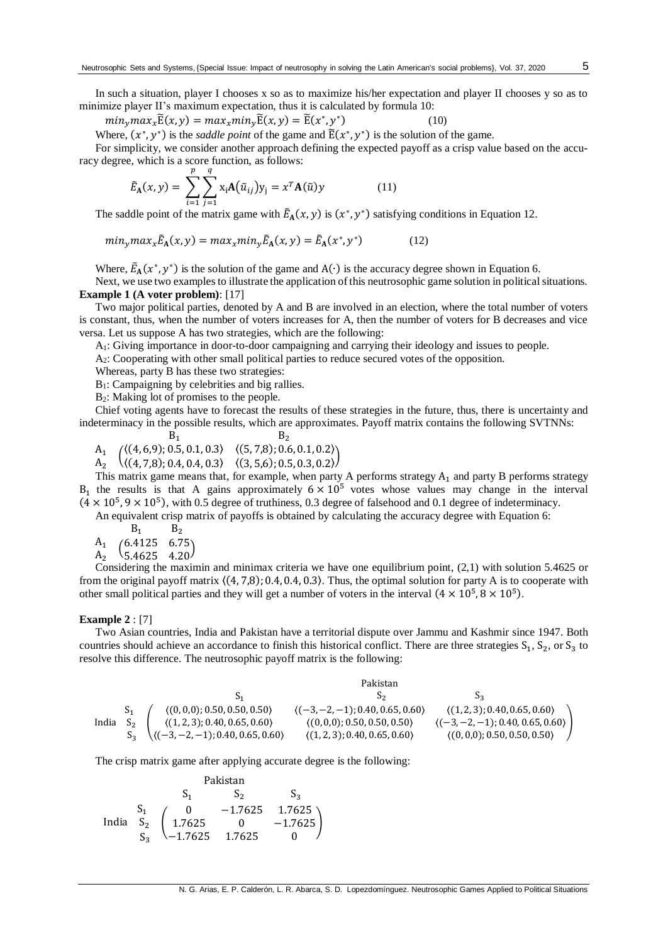In such a situation, player I chooses x so as to maximize his/her expectation and player II chooses y so as to minimize player II's maximum expectation, thus it is calculated by formula 10:

$$
min_{y} max_{x} \widetilde{E}(x, y) = max_{x} min_{y} \widetilde{E}(x, y) = \widetilde{E}(x^*, y^*)
$$
\n(10)

Where,  $(x^*, y^*)$  is the *saddle point* of the game and  $\tilde{E}(x^*, y^*)$  is the solution of the game.

For simplicity, we consider another approach defining the expected payoff as a crisp value based on the accuracy degree, which is a score function, as follows:

$$
\widetilde{E}_{\mathbf{A}}(x,y) = \sum_{i=1}^{p} \sum_{j=1}^{q} x_i \mathbf{A}(\widetilde{u}_{ij}) y_j = x^T \mathbf{A}(\widetilde{u}) y \qquad (11)
$$

The saddle point of the matrix game with  $\tilde{E}_A(x, y)$  is  $(x^*, y^*)$  satisfying conditions in Equation 12.

$$
min_{y} max_{x} \tilde{E}_{A}(x, y) = max_{x} min_{y} \tilde{E}_{A}(x, y) = \tilde{E}_{A}(x^{*}, y^{*})
$$
(12)

Where,  $\tilde{E}_{A}(x^*, y^*)$  is the solution of the game and A(⋅) is the accuracy degree shown in Equation 6.

Next, we use two examples to illustrate the application of this neutrosophic game solution in political situations. **Example 1 (A voter problem)**: [17]

Two major political parties, denoted by A and B are involved in an election, where the total number of voters is constant, thus, when the number of voters increases for A, then the number of voters for B decreases and vice versa. Let us suppose A has two strategies, which are the following:

A1: Giving importance in door-to-door campaigning and carrying their ideology and issues to people.

A2: Cooperating with other small political parties to reduce secured votes of the opposition.

Whereas, party B has these two strategies:

B1: Campaigning by celebrities and big rallies.

B2: Making lot of promises to the people.

Chief voting agents have to forecast the results of these strategies in the future, thus, there is uncertainty and indeterminacy in the possible results, which are approximates. Payoff matrix contains the following SVTNNs:

- $B_1$   $B_2$
- $A_1$  $\left\{\n \begin{array}{ccc}\n \langle (4, 6, 9); 0.5, 0.1, 0.3 \rangle & \langle (5, 7, 8); 0.6, 0.1, 0.2 \rangle \\
 \langle (4, 7, 8); 0.4, 0.4, 0.3 \rangle & \langle (3, 5, 6); 0.5, 0.3, 0.3 \rangle\n \end{array}\n \right\}$
- $A<sub>2</sub>$  $\langle (4, 7, 8); 0.4, 0.4, 0.3 \rangle$   $\langle (3, 5, 6); 0.5, 0.3, 0.2 \rangle$

This matrix game means that, for example, when party A performs strategy  $A_1$  and party B performs strategy  $B_1$  the results is that A gains approximately  $6 \times 10^5$  votes whose values may change in the interval  $(4 \times 10^5, 9 \times 10^5)$ , with 0.5 degree of truthiness, 0.3 degree of falsehood and 0.1 degree of indeterminacy.

An equivalent crisp matrix of payoffs is obtained by calculating the accuracy degree with Equation 6:

- $B_1$   $B_2$
- $A_{1}$
- $\begin{pmatrix} 6.4125 & 6.75 \ A_2 & 5.4625 & 4.20 \end{pmatrix}$

Considering the maximin and minimax criteria we have one equilibrium point, (2,1) with solution 5.4625 or from the original payoff matrix  $((4, 7, 8); 0.4, 0.4, 0.3)$ . Thus, the optimal solution for party A is to cooperate with other small political parties and they will get a number of voters in the interval  $(4 \times 10^5, 8 \times 10^5)$ .

#### **Example 2** : [7]

Two Asian countries, India and Pakistan have a territorial dispute over Jammu and Kashmir since 1947. Both countries should achieve an accordance to finish this historical conflict. There are three strategies  $S_1$ ,  $S_2$ , or  $S_3$  to resolve this difference. The neutrosophic payoff matrix is the following:

|       |                | Pakistan                                    |                                             |                                                |  |  |  |  |
|-------|----------------|---------------------------------------------|---------------------------------------------|------------------------------------------------|--|--|--|--|
|       |                |                                             | აა                                          |                                                |  |  |  |  |
| India | S <sub>1</sub> | $(0,0,0)$ ; 0.50, 0.50, 0.50)               | $\langle (-3, -2, -1)$ ; 0.40, 0.65, 0.60)  | $\langle (1,2,3); 0.40, 0.65, 0.60 \rangle$    |  |  |  |  |
|       | $S_{2}$        | $\langle (1,2,3); 0.40, 0.65, 0.60 \rangle$ | $(0,0,0)$ ; 0.50, 0.50, 0.50)               | $\langle (-3,-2,-1); 0.40, 0.65, 0.60 \rangle$ |  |  |  |  |
|       |                |                                             | $\langle (1,2,3); 0.40, 0.65, 0.60 \rangle$ | (0,0,0); 0.50, 0.50, 0.50)                     |  |  |  |  |

The crisp matrix game after applying accurate degree is the following:

| Pakistan | $S_1$ | $S_2$                                                                                                      | $S_3$ |
|----------|-------|------------------------------------------------------------------------------------------------------------|-------|
| S_1      | $S_2$ | $S_3$                                                                                                      |       |
| India    | $S_2$ | $\begin{pmatrix} 0 & -1.7625 & 1.7625 \\ 1.7625 & 0 & -1.7625 \\ S_3 & -1.7625 & 1.7625 & 0 \end{pmatrix}$ |       |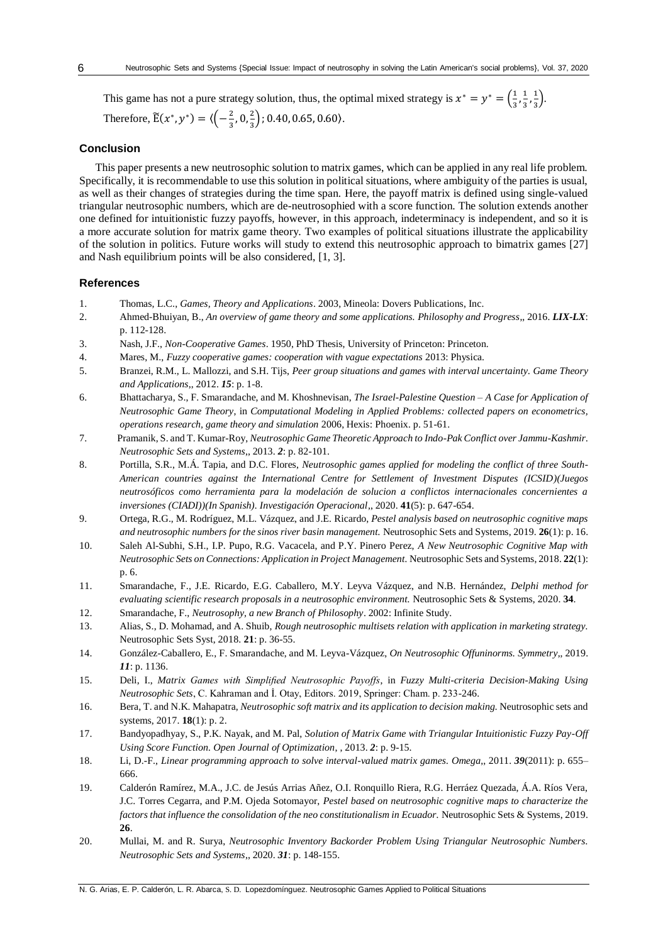This game has not a pure strategy solution, thus, the optimal mixed strategy is  $x^* = y^* = \left(\frac{1}{2}\right)$  $\frac{1}{3}$ ,  $\frac{1}{3}$  $\frac{1}{3}, \frac{1}{3}$  $\frac{1}{3}$ . Therefore,  $\widetilde{E}(x^*, y^*) = \langle \left(-\frac{2}{3}\right)$  $\frac{2}{3}$ , 0,  $\frac{2}{3}$  $\frac{2}{3}$ ); 0.40, 0.65, 0.60).

## **Conclusion**

This paper presents a new neutrosophic solution to matrix games, which can be applied in any real life problem. Specifically, it is recommendable to use this solution in political situations, where ambiguity of the parties is usual, as well as their changes of strategies during the time span. Here, the payoff matrix is defined using single-valued triangular neutrosophic numbers, which are de-neutrosophied with a score function. The solution extends another one defined for intuitionistic fuzzy payoffs, however, in this approach, indeterminacy is independent, and so it is a more accurate solution for matrix game theory. Two examples of political situations illustrate the applicability of the solution in politics. Future works will study to extend this neutrosophic approach to bimatrix games [27] and Nash equilibrium points will be also considered, [1, 3].

#### **References**

- 1. Thomas, L.C., *Games, Theory and Applications*. 2003, Mineola: Dovers Publications, Inc.
- 2. Ahmed-Bhuiyan, B., *An overview of game theory and some applications. Philosophy and Progress*,, 2016. *LIX-LX*: p. 112-128.
- 3. Nash, J.F., *Non-Cooperative Games*. 1950, PhD Thesis, University of Princeton: Princeton.
- 4. Mares, M., *Fuzzy cooperative games: cooperation with vague expectations* 2013: Physica.
- 5. Branzei, R.M., L. Mallozzi, and S.H. Tijs, *Peer group situations and games with interval uncertainty. Game Theory and Applications*,, 2012. *15*: p. 1-8.
- 6. Bhattacharya, S., F. Smarandache, and M. Khoshnevisan, *The Israel-Palestine Question – A Case for Application of Neutrosophic Game Theory*, in *Computational Modeling in Applied Problems: collected papers on econometrics, operations research, game theory and simulation* 2006, Hexis: Phoenix. p. 51-61.
- 7. Pramanik, S. and T. Kumar-Roy, *Neutrosophic Game Theoretic Approach to Indo-Pak Conflict over Jammu-Kashmir. Neutrosophic Sets and Systems*,, 2013. *2*: p. 82-101.
- 8. Portilla, S.R., M.Á. Tapia, and D.C. Flores, *Neutrosophic games applied for modeling the conflict of three South-American countries against the International Centre for Settlement of Investment Disputes (ICSID)(Juegos neutrosóficos como herramienta para la modelación de solucion a conflictos internacionales concernientes a inversiones (CIADI))(In Spanish). Investigación Operacional*,, 2020. **41**(5): p. 647-654.
- 9. Ortega, R.G., M. Rodríguez, M.L. Vázquez, and J.E. Ricardo, *Pestel analysis based on neutrosophic cognitive maps and neutrosophic numbers for the sinos river basin management.* Neutrosophic Sets and Systems, 2019. **26**(1): p. 16.
- 10. Saleh Al-Subhi, S.H., I.P. Pupo, R.G. Vacacela, and P.Y. Pinero Perez, *A New Neutrosophic Cognitive Map with Neutrosophic Sets on Connections: Application in Project Management.* Neutrosophic Sets and Systems, 2018. **22**(1): p. 6.
- 11. Smarandache, F., J.E. Ricardo, E.G. Caballero, M.Y. Leyva Vázquez, and N.B. Hernández, *Delphi method for evaluating scientific research proposals in a neutrosophic environment.* Neutrosophic Sets & Systems, 2020. **34**.
- 12. Smarandache, F., *Neutrosophy, a new Branch of Philosophy*. 2002: Infinite Study.
- 13. Alias, S., D. Mohamad, and A. Shuib, *Rough neutrosophic multisets relation with application in marketing strategy.* Neutrosophic Sets Syst, 2018. **21**: p. 36-55.
- 14. González-Caballero, E., F. Smarandache, and M. Leyva-Vázquez, *On Neutrosophic Offuninorms. Symmetry*,, 2019. *11*: p. 1136.
- 15. Deli, I., *Matrix Games with Simplified Neutrosophic Payoffs*, in *Fuzzy Multi-criteria Decision-Making Using Neutrosophic Sets*, C. Kahraman and İ. Otay, Editors. 2019, Springer: Cham. p. 233-246.
- 16. Bera, T. and N.K. Mahapatra, *Neutrosophic soft matrix and its application to decision making.* Neutrosophic sets and systems, 2017. **18**(1): p. 2.
- 17. Bandyopadhyay, S., P.K. Nayak, and M. Pal, *Solution of Matrix Game with Triangular Intuitionistic Fuzzy Pay-Off Using Score Function. Open Journal of Optimization*, , 2013. *2*: p. 9-15.
- 18. Li, D.-F., *Linear programming approach to solve interval-valued matrix games. Omega*,, 2011. *39*(2011): p. 655– 666.
- 19. Calderón Ramírez, M.A., J.C. de Jesús Arrias Añez, O.I. Ronquillo Riera, R.G. Herráez Quezada, Á.A. Ríos Vera, J.C. Torres Cegarra, and P.M. Ojeda Sotomayor, *Pestel based on neutrosophic cognitive maps to characterize the factors that influence the consolidation of the neo constitutionalism in Ecuador.* Neutrosophic Sets & Systems, 2019. **26**.
- 20. Mullai, M. and R. Surya, *Neutrosophic Inventory Backorder Problem Using Triangular Neutrosophic Numbers. Neutrosophic Sets and Systems*,, 2020. *31*: p. 148-155.